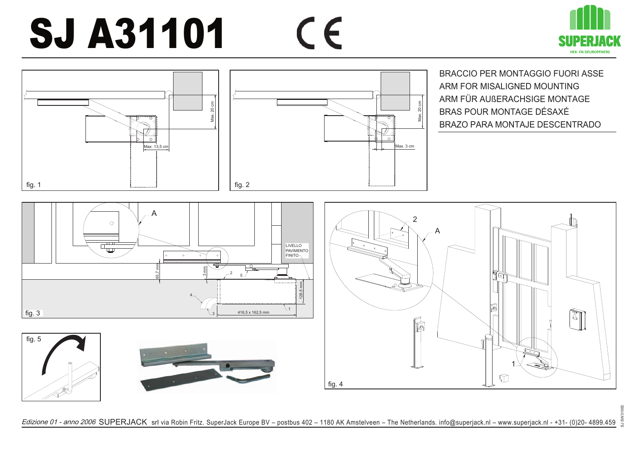## $\epsilon$ SJ A31101





Edizione 01 - anno 2006 SUPERJACK srl via Robin Fritz. SuperJack Europe BV – postbus 402 – 1180 AK Amstelveen – The Netherlands. info@superjack.nl – www.superjack.nl - +31- (0)20- 4899.459 and